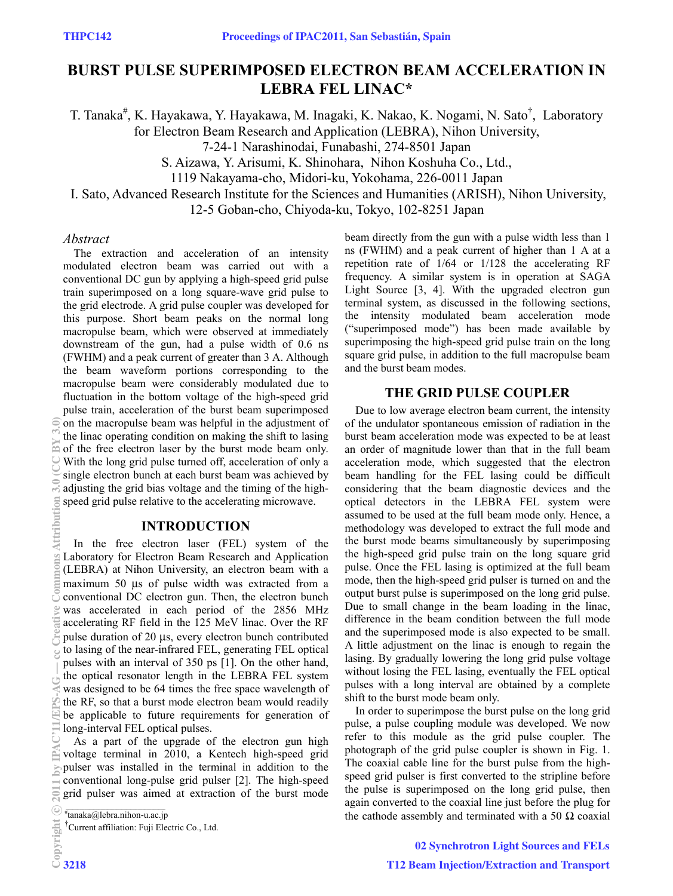# 0B**BURST PULSE SUPERIMPOSED ELECTRON BEAM ACCELERATION IN LEBRA FEL LINAC\***

T. Tanaka<sup>#</sup>, K. Hayakawa, Y. Hayakawa, M. Inagaki, K. Nakao, K. Nogami, N. Sato<sup>†</sup>, Laboratory for Electron Beam Research and Application (LEBRA), Nihon University,

7-24-1 Narashinodai, Funabashi, 274-8501 Japan

S. Aizawa, Y. Arisumi, K. Shinohara, Nihon Koshuha Co., Ltd.,

1119 Nakayama-cho, Midori-ku, Yokohama, 226-0011 Japan

I. Sato, Advanced Research Institute for the Sciences and Humanities (ARISH), Nihon University,

12-5 Goban-cho, Chiyoda-ku, Tokyo, 102-8251 Japan

### *Abstract*

The extraction and acceleration of an intensity modulated electron beam was carried out with a conventional DC gun by applying a high-speed grid pulse train superimposed on a long square-wave grid pulse to the grid electrode. A grid pulse coupler was developed for this purpose. Short beam peaks on the normal long macropulse beam, which were observed at immediately downstream of the gun, had a pulse width of 0.6 ns (FWHM) and a peak current of greater than 3 A. Although the beam waveform portions corresponding to the macropulse beam were considerably modulated due to fluctuation in the bottom voltage of the high-speed grid pulse train, acceleration of the burst beam superimposed on the macropulse beam was helpful in the adjustment of the linac operating condition on making the shift to lasing of the free electron laser by the burst mode beam only. With the long grid pulse turned off, acceleration of only a single electron bunch at each burst beam was achieved by adjusting the grid bias voltage and the timing of the highspeed grid pulse relative to the accelerating microwave.

### 1B**INTRODUCTION**

In the free electron laser (FEL) system of the Laboratory for Electron Beam Research and Application (LEBRA) at Nihon University, an electron beam with a maximum 50 μs of pulse width was extracted from a conventional DC electron gun. Then, the electron bunch was accelerated in each period of the 2856 MHz accelerating RF field in the 125 MeV linac. Over the RF pulse duration of 20 μs, every electron bunch contributed to lasing of the near-infrared FEL, generating FEL optical pulses with an interval of 350 ps [1]. On the other hand, the optical resonator length in the LEBRA FEL system was designed to be 64 times the free space wavelength of the RF, so that a burst mode electron beam would readily be applicable to future requirements for generation of long-interval FEL optical pulses.

As a part of the upgrade of the electron gun high voltage terminal in 2010, a Kentech high-speed grid pulser was installed in the terminal in addition to the conventional long-pulse grid pulser [2]. The high-speed grid pulser was aimed at extraction of the burst mode beam directly from the gun with a pulse width less than 1 ns (FWHM) and a peak current of higher than 1 A at a repetition rate of 1/64 or 1/128 the accelerating RF frequency. A similar system is in operation at SAGA Light Source [3, 4]. With the upgraded electron gun terminal system, as discussed in the following sections, the intensity modulated beam acceleration mode ("superimposed mode") has been made available by superimposing the high-speed grid pulse train on the long square grid pulse, in addition to the full macropulse beam and the burst beam modes.

### 2B**THE GRID PULSE COUPLER**

Due to low average electron beam current, the intensity of the undulator spontaneous emission of radiation in the burst beam acceleration mode was expected to be at least an order of magnitude lower than that in the full beam acceleration mode, which suggested that the electron beam handling for the FEL lasing could be difficult considering that the beam diagnostic devices and the optical detectors in the LEBRA FEL system were assumed to be used at the full beam mode only. Hence, a methodology was developed to extract the full mode and the burst mode beams simultaneously by superimposing the high-speed grid pulse train on the long square grid pulse. Once the FEL lasing is optimized at the full beam mode, then the high-speed grid pulser is turned on and the output burst pulse is superimposed on the long grid pulse. Due to small change in the beam loading in the linac, difference in the beam condition between the full mode and the superimposed mode is also expected to be small. A little adjustment on the linac is enough to regain the lasing. By gradually lowering the long grid pulse voltage without losing the FEL lasing, eventually the FEL optical pulses with a long interval are obtained by a complete shift to the burst mode beam only.

In order to superimpose the burst pulse on the long grid pulse, a pulse coupling module was developed. We now refer to this module as the grid pulse coupler. The photograph of the grid pulse coupler is shown in Fig. 1. The coaxial cable line for the burst pulse from the highspeed grid pulser is first converted to the stripline before the pulse is superimposed on the long grid pulse, then again converted to the coaxial line just before the plug for the cathode assembly and terminated with a 50  $\Omega$  coaxial

<sup>#</sup> tanaka@lebra.nihon-u.ac.jp

<sup>&</sup>lt;sup>T</sup>Current affiliation: Fuji Electric Co., Ltd.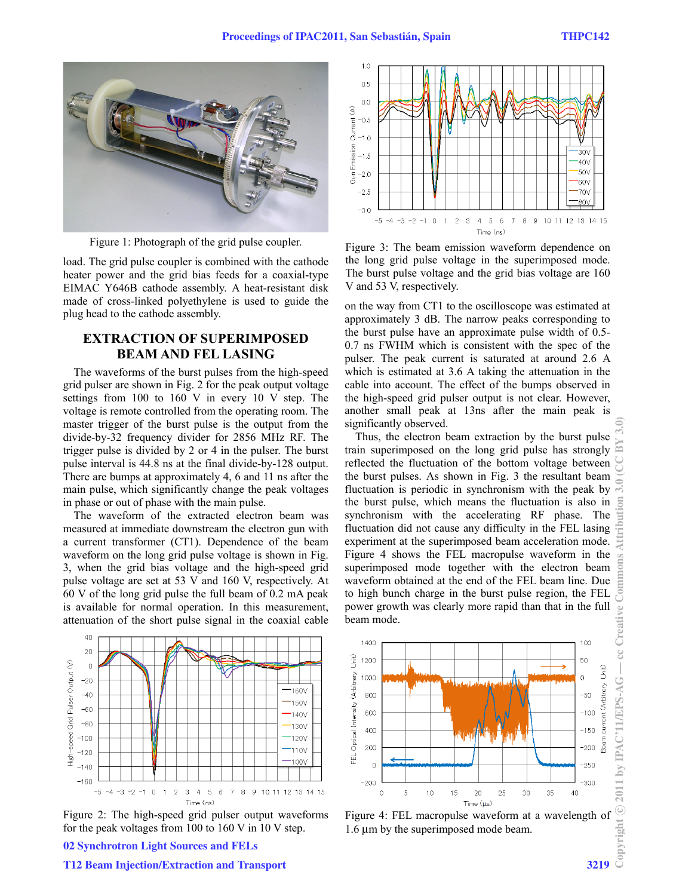

load. The grid pulse coupler is combined with the cathode heater power and the grid bias feeds for a coaxial-type EIMAC Y646B cathode assembly. A heat-resistant disk made of cross-linked polyethylene is used to guide the plug head to the cathode assembly.

## 3B**EXTRACTION OF SUPERIMPOSED BEAM AND FEL LASING**

The waveforms of the burst pulses from the high-speed grid pulser are shown in Fig. 2 for the peak output voltage settings from 100 to 160 V in every 10 V step. The voltage is remote controlled from the operating room. The master trigger of the burst pulse is the output from the divide-by-32 frequency divider for 2856 MHz RF. The trigger pulse is divided by 2 or 4 in the pulser. The burst pulse interval is 44.8 ns at the final divide-by-128 output. There are bumps at approximately 4, 6 and 11 ns after the main pulse, which significantly change the peak voltages in phase or out of phase with the main pulse.

The waveform of the extracted electron beam was measured at immediate downstream the electron gun with a current transformer (CT1). Dependence of the beam waveform on the long grid pulse voltage is shown in Fig. 3, when the grid bias voltage and the high-speed grid pulse voltage are set at 53 V and 160 V, respectively. At 60 V of the long grid pulse the full beam of 0.2 mA peak is available for normal operation. In this measurement, attenuation of the short pulse signal in the coaxial cable



Figure 2: The high-speed grid pulser output waveforms for the peak voltages from 100 to 160 V in 10 V step.



Figure 1: Photograph of the grid pulse coupler. Figure 3: The beam emission waveform dependence on the long grid pulse voltage in the superimposed mode. The burst pulse voltage and the grid bias voltage are 160 V and 53 V, respectively.

on the way from CT1 to the oscilloscope was estimated at approximately 3 dB. The narrow peaks corresponding to the burst pulse have an approximate pulse width of 0.5- 0.7 ns FWHM which is consistent with the spec of the pulser. The peak current is saturated at around 2.6 A which is estimated at 3.6 A taking the attenuation in the cable into account. The effect of the bumps observed in the high-speed grid pulser output is not clear. However, another small peak at 13ns after the main peak is significantly observed.

Thus, the electron beam extraction by the burst pulse train superimposed on the long grid pulse has strongly reflected the fluctuation of the bottom voltage between the burst pulses. As shown in Fig. 3 the resultant beam fluctuation is periodic in synchronism with the peak by the burst pulse, which means the fluctuation is also in synchronism with the accelerating RF phase. The fluctuation did not cause any difficulty in the FEL lasing experiment at the superimposed beam acceleration mode. Figure 4 shows the FEL macropulse waveform in the superimposed mode together with the electron beam waveform obtained at the end of the FEL beam line. Due to high bunch charge in the burst pulse region, the FEL power growth was clearly more rapid than that in the full beam mode.



Figure 4: FEL macropulse waveform at a wavelength of  $\frac{2}{\frac{1}{2}}$ <br>1.6  $\mu$ m by the superimposed mode beam. 1.6 μm by the superimposed mode beam.

### 02 Synchrotron Light Sources and FELs

#### T12 Beam Injection/Extraction and Transport 3219